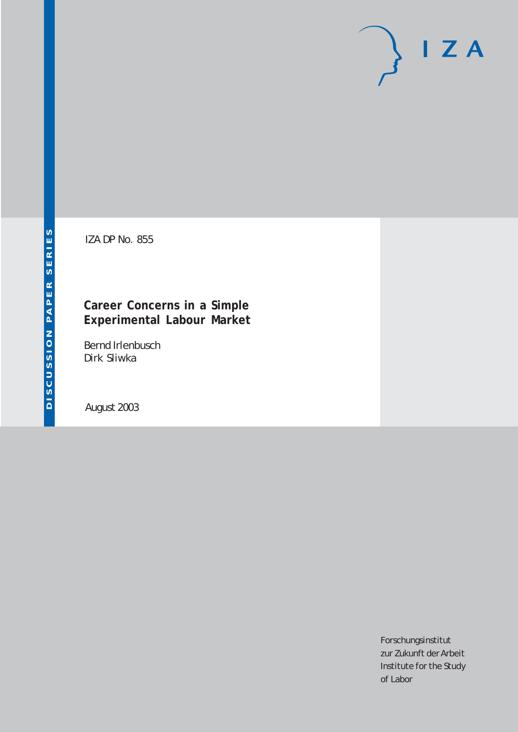# $I Z A$

IZA DP No. 855

## **Career Concerns in a Simple Experimental Labour Market**

Bernd Irlenbusch Dirk Sliwka

August 2003

Forschungsinstitut zur Zukunft der Arbeit Institute for the Study of Labor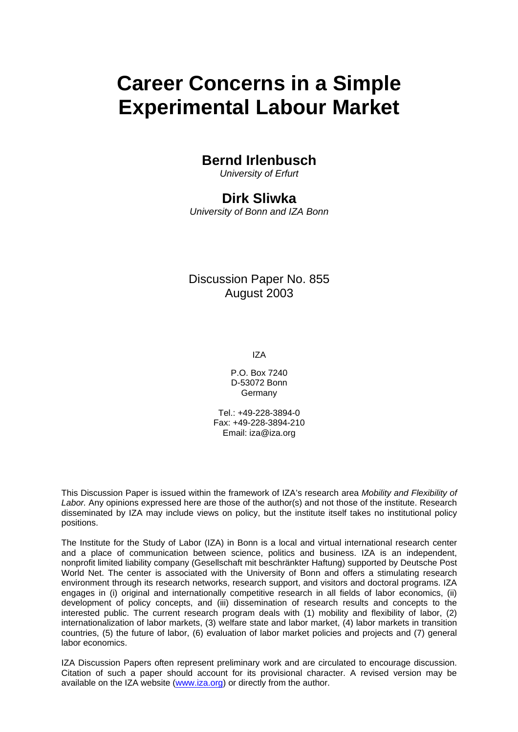# **Career Concerns in a Simple Experimental Labour Market**

## **Bernd Irlenbusch**

*University of Erfurt* 

## **Dirk Sliwka**

*University of Bonn and IZA Bonn* 

#### Discussion Paper No. 855 August 2003

IZA

P.O. Box 7240 D-53072 Bonn **Germany** 

Tel.: +49-228-3894-0 Fax: +49-228-3894-210 Email: [iza@iza.org](mailto:iza@iza.org)

This Discussion Paper is issued within the framework of IZA's research area *Mobility and Flexibility of Labor.* Any opinions expressed here are those of the author(s) and not those of the institute. Research disseminated by IZA may include views on policy, but the institute itself takes no institutional policy positions.

The Institute for the Study of Labor (IZA) in Bonn is a local and virtual international research center and a place of communication between science, politics and business. IZA is an independent, nonprofit limited liability company (Gesellschaft mit beschränkter Haftung) supported by Deutsche Post World Net. The center is associated with the University of Bonn and offers a stimulating research environment through its research networks, research support, and visitors and doctoral programs. IZA engages in (i) original and internationally competitive research in all fields of labor economics, (ii) development of policy concepts, and (iii) dissemination of research results and concepts to the interested public. The current research program deals with (1) mobility and flexibility of labor, (2) internationalization of labor markets, (3) welfare state and labor market, (4) labor markets in transition countries, (5) the future of labor, (6) evaluation of labor market policies and projects and (7) general labor economics.

IZA Discussion Papers often represent preliminary work and are circulated to encourage discussion. Citation of such a paper should account for its provisional character. A revised version may be available on the IZA website ([www.iza.org](http://www.iza.org/)) or directly from the author.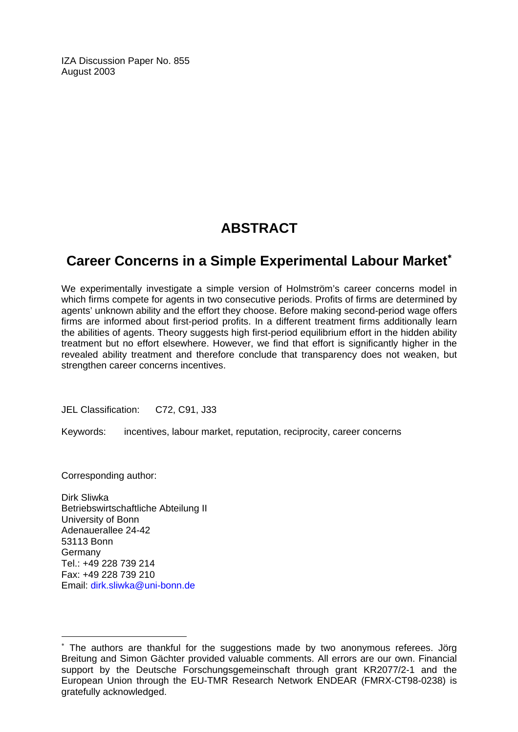IZA Discussion Paper No. 855 August 2003

## **ABSTRACT**

## **Career Concerns in a Simple Experimental Labour Market**[∗](#page-2-0)

We experimentally investigate a simple version of Holmström's career concerns model in which firms compete for agents in two consecutive periods. Profits of firms are determined by agents' unknown ability and the effort they choose. Before making second-period wage offers firms are informed about first-period profits. In a different treatment firms additionally learn the abilities of agents. Theory suggests high first-period equilibrium effort in the hidden ability treatment but no effort elsewhere. However, we find that effort is significantly higher in the revealed ability treatment and therefore conclude that transparency does not weaken, but strengthen career concerns incentives.

JEL Classification: C72, C91, J33

Keywords: incentives, labour market, reputation, reciprocity, career concerns

Corresponding author:

 $\overline{a}$ 

Dirk Sliwka Betriebswirtschaftliche Abteilung II University of Bonn Adenauerallee 24-42 53113 Bonn Germany Tel.: +49 228 739 214 Fax: +49 228 739 210 Email: [dirk.sliwka@uni-bonn.de](mailto:dirk.sliwka@uni-bonn.de)

<span id="page-2-0"></span><sup>∗</sup> The authors are thankful for the suggestions made by two anonymous referees. Jörg Breitung and Simon Gächter provided valuable comments. All errors are our own. Financial support by the Deutsche Forschungsgemeinschaft through grant KR2077/2-1 and the European Union through the EU-TMR Research Network ENDEAR (FMRX-CT98-0238) is gratefully acknowledged.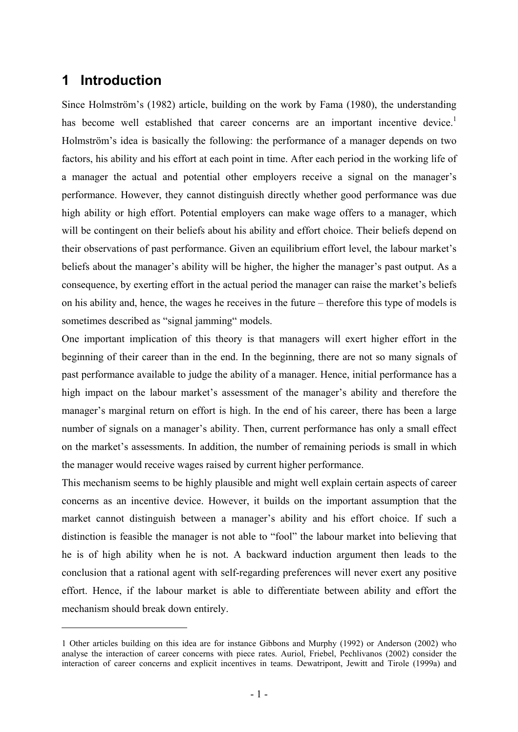## **1 Introduction**

 $\overline{a}$ 

Since Holmström's (1982) article, building on the work by Fama (1980), the understanding has become well established that career concerns are an important incentive device.<sup>1</sup> Holmström's idea is basically the following: the performance of a manager depends on two factors, his ability and his effort at each point in time. After each period in the working life of a manager the actual and potential other employers receive a signal on the manager's performance. However, they cannot distinguish directly whether good performance was due high ability or high effort. Potential employers can make wage offers to a manager, which will be contingent on their beliefs about his ability and effort choice. Their beliefs depend on their observations of past performance. Given an equilibrium effort level, the labour market's beliefs about the manager's ability will be higher, the higher the manager's past output. As a consequence, by exerting effort in the actual period the manager can raise the market's beliefs on his ability and, hence, the wages he receives in the future – therefore this type of models is sometimes described as "signal jamming" models.

One important implication of this theory is that managers will exert higher effort in the beginning of their career than in the end. In the beginning, there are not so many signals of past performance available to judge the ability of a manager. Hence, initial performance has a high impact on the labour market's assessment of the manager's ability and therefore the manager's marginal return on effort is high. In the end of his career, there has been a large number of signals on a manager's ability. Then, current performance has only a small effect on the market's assessments. In addition, the number of remaining periods is small in which the manager would receive wages raised by current higher performance.

This mechanism seems to be highly plausible and might well explain certain aspects of career concerns as an incentive device. However, it builds on the important assumption that the market cannot distinguish between a manager's ability and his effort choice. If such a distinction is feasible the manager is not able to "fool" the labour market into believing that he is of high ability when he is not. A backward induction argument then leads to the conclusion that a rational agent with self-regarding preferences will never exert any positive effort. Hence, if the labour market is able to differentiate between ability and effort the mechanism should break down entirely.

<sup>1</sup> Other articles building on this idea are for instance Gibbons and Murphy (1992) or Anderson (2002) who analyse the interaction of career concerns with piece rates. Auriol, Friebel, Pechlivanos (2002) consider the interaction of career concerns and explicit incentives in teams. Dewatripont, Jewitt and Tirole (1999a) and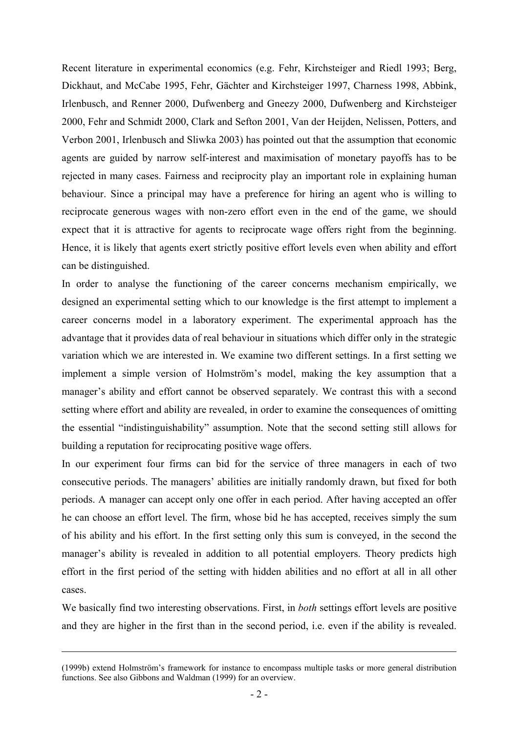Recent literature in experimental economics (e.g. Fehr, Kirchsteiger and Riedl 1993; Berg, Dickhaut, and McCabe 1995, Fehr, Gächter and Kirchsteiger 1997, Charness 1998, Abbink, Irlenbusch, and Renner 2000, Dufwenberg and Gneezy 2000, Dufwenberg and Kirchsteiger 2000, Fehr and Schmidt 2000, Clark and Sefton 2001, Van der Heijden, Nelissen, Potters, and Verbon 2001, Irlenbusch and Sliwka 2003) has pointed out that the assumption that economic agents are guided by narrow self-interest and maximisation of monetary payoffs has to be rejected in many cases. Fairness and reciprocity play an important role in explaining human behaviour. Since a principal may have a preference for hiring an agent who is willing to reciprocate generous wages with non-zero effort even in the end of the game, we should expect that it is attractive for agents to reciprocate wage offers right from the beginning. Hence, it is likely that agents exert strictly positive effort levels even when ability and effort can be distinguished.

In order to analyse the functioning of the career concerns mechanism empirically, we designed an experimental setting which to our knowledge is the first attempt to implement a career concerns model in a laboratory experiment. The experimental approach has the advantage that it provides data of real behaviour in situations which differ only in the strategic variation which we are interested in. We examine two different settings. In a first setting we implement a simple version of Holmström's model, making the key assumption that a manager's ability and effort cannot be observed separately. We contrast this with a second setting where effort and ability are revealed, in order to examine the consequences of omitting the essential "indistinguishability" assumption. Note that the second setting still allows for building a reputation for reciprocating positive wage offers.

In our experiment four firms can bid for the service of three managers in each of two consecutive periods. The managers' abilities are initially randomly drawn, but fixed for both periods. A manager can accept only one offer in each period. After having accepted an offer he can choose an effort level. The firm, whose bid he has accepted, receives simply the sum of his ability and his effort. In the first setting only this sum is conveyed, in the second the manager's ability is revealed in addition to all potential employers. Theory predicts high effort in the first period of the setting with hidden abilities and no effort at all in all other cases.

We basically find two interesting observations. First, in *both* settings effort levels are positive and they are higher in the first than in the second period, i.e. even if the ability is revealed.

<sup>(1999</sup>b) extend Holmström's framework for instance to encompass multiple tasks or more general distribution functions. See also Gibbons and Waldman (1999) for an overview.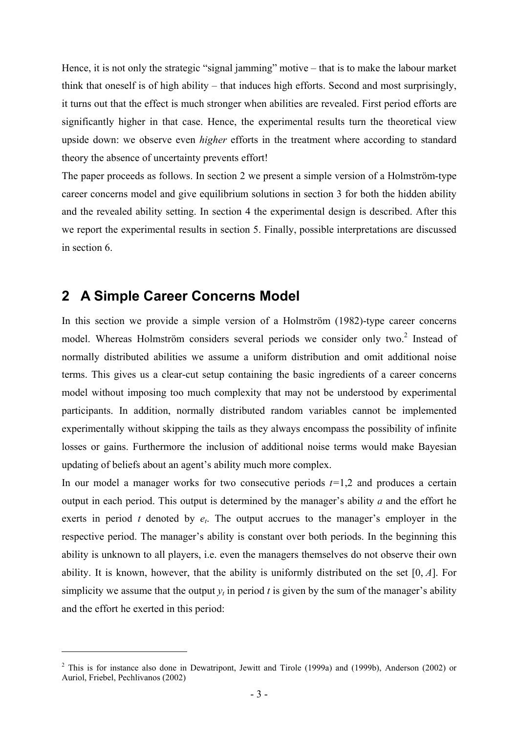Hence, it is not only the strategic "signal jamming" motive – that is to make the labour market think that oneself is of high ability – that induces high efforts. Second and most surprisingly, it turns out that the effect is much stronger when abilities are revealed. First period efforts are significantly higher in that case. Hence, the experimental results turn the theoretical view upside down: we observe even *higher* efforts in the treatment where according to standard theory the absence of uncertainty prevents effort!

The paper proceeds as follows. In section 2 we present a simple version of a Holmström-type career concerns model and give equilibrium solutions in section 3 for both the hidden ability and the revealed ability setting. In section 4 the experimental design is described. After this we report the experimental results in section 5. Finally, possible interpretations are discussed in section 6.

## **2 A Simple Career Concerns Model**

 $\overline{a}$ 

In this section we provide a simple version of a Holmström (1982)-type career concerns model. Whereas Holmström considers several periods we consider only two.<sup>2</sup> Instead of normally distributed abilities we assume a uniform distribution and omit additional noise terms. This gives us a clear-cut setup containing the basic ingredients of a career concerns model without imposing too much complexity that may not be understood by experimental participants. In addition, normally distributed random variables cannot be implemented experimentally without skipping the tails as they always encompass the possibility of infinite losses or gains. Furthermore the inclusion of additional noise terms would make Bayesian updating of beliefs about an agent's ability much more complex.

In our model a manager works for two consecutive periods *t=*1,2 and produces a certain output in each period. This output is determined by the manager's ability *a* and the effort he exerts in period *t* denoted by  $e_t$ . The output accrues to the manager's employer in the respective period. The manager's ability is constant over both periods. In the beginning this ability is unknown to all players, i.e. even the managers themselves do not observe their own ability. It is known, however, that the ability is uniformly distributed on the set [0, *A*]. For simplicity we assume that the output  $y_t$  in period *t* is given by the sum of the manager's ability and the effort he exerted in this period:

<sup>&</sup>lt;sup>2</sup> This is for instance also done in Dewatripont, Jewitt and Tirole (1999a) and (1999b), Anderson (2002) or Auriol, Friebel, Pechlivanos (2002)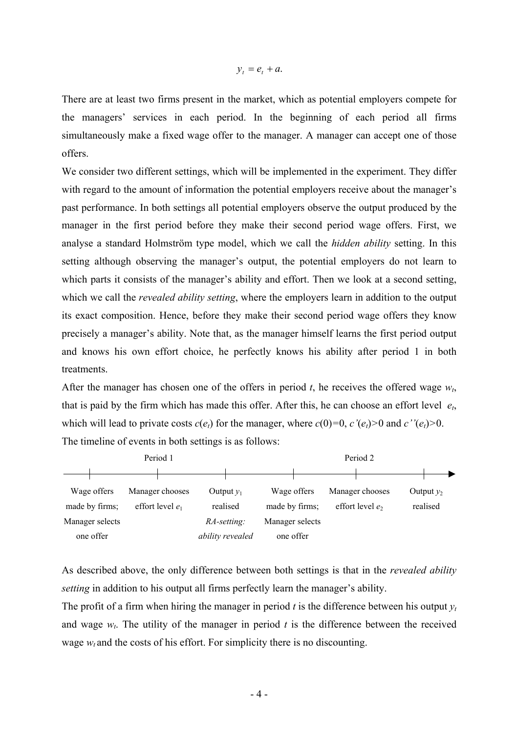$y_t = e_t + a$ .

There are at least two firms present in the market, which as potential employers compete for the managers' services in each period. In the beginning of each period all firms simultaneously make a fixed wage offer to the manager. A manager can accept one of those offers.

We consider two different settings, which will be implemented in the experiment. They differ with regard to the amount of information the potential employers receive about the manager's past performance. In both settings all potential employers observe the output produced by the manager in the first period before they make their second period wage offers. First, we analyse a standard Holmström type model, which we call the *hidden ability* setting. In this setting although observing the manager's output, the potential employers do not learn to which parts it consists of the manager's ability and effort. Then we look at a second setting, which we call the *revealed ability setting*, where the employers learn in addition to the output its exact composition. Hence, before they make their second period wage offers they know precisely a manager's ability. Note that, as the manager himself learns the first period output and knows his own effort choice, he perfectly knows his ability after period 1 in both treatments.

After the manager has chosen one of the offers in period  $t$ , he receives the offered wage  $w_t$ , that is paid by the firm which has made this offer. After this, he can choose an effort level  $e_t$ , which will lead to private costs  $c(e_t)$  for the manager, where  $c(0)=0$ ,  $c'(e_t) > 0$  and  $c''(e_t) > 0$ . The timeline of events in both settings is as follows:



As described above, the only difference between both settings is that in the *revealed ability setting* in addition to his output all firms perfectly learn the manager's ability.

The profit of a firm when hiring the manager in period  $t$  is the difference between his output  $y_t$ and wage  $w_t$ . The utility of the manager in period  $t$  is the difference between the received wage  $w_t$  and the costs of his effort. For simplicity there is no discounting.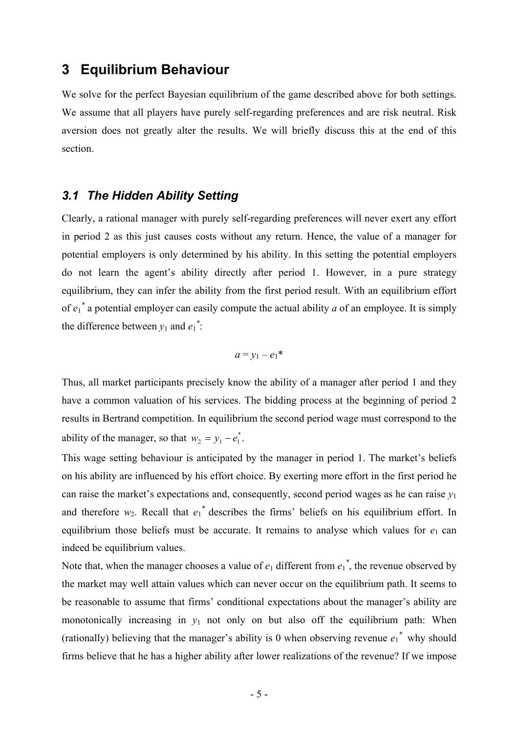## **3 Equilibrium Behaviour**

We solve for the perfect Bayesian equilibrium of the game described above for both settings. We assume that all players have purely self-regarding preferences and are risk neutral. Risk aversion does not greatly alter the results. We will briefly discuss this at the end of this section.

## *3.1 The Hidden Ability Setting*

Clearly, a rational manager with purely self-regarding preferences will never exert any effort in period 2 as this just causes costs without any return. Hence, the value of a manager for potential employers is only determined by his ability. In this setting the potential employers do not learn the agent's ability directly after period 1. However, in a pure strategy equilibrium, they can infer the ability from the first period result. With an equilibrium effort of  $e_1^*$  a potential employer can easily compute the actual ability *a* of an employee. It is simply the difference between  $y_1$  and  $e_1^*$ :

$$
a = y_1 - e_1^*
$$

Thus, all market participants precisely know the ability of a manager after period 1 and they have a common valuation of his services. The bidding process at the beginning of period 2 results in Bertrand competition. In equilibrium the second period wage must correspond to the ability of the manager, so that  $w_2 = y_1 - e_1^*$ .

This wage setting behaviour is anticipated by the manager in period 1. The market's beliefs on his ability are influenced by his effort choice. By exerting more effort in the first period he can raise the market's expectations and, consequently, second period wages as he can raise *y*<sup>1</sup> and therefore  $w_2$ . Recall that  $e_1^*$  describes the firms' beliefs on his equilibrium effort. In equilibrium those beliefs must be accurate. It remains to analyse which values for  $e_1$  can indeed be equilibrium values.

Note that, when the manager chooses a value of  $e_1$  different from  $e_1^*$ , the revenue observed by the market may well attain values which can never occur on the equilibrium path. It seems to be reasonable to assume that firms' conditional expectations about the manager's ability are monotonically increasing in  $y_1$  not only on but also off the equilibrium path: When (rationally) believing that the manager's ability is 0 when observing revenue  $e_1^*$  why should firms believe that he has a higher ability after lower realizations of the revenue? If we impose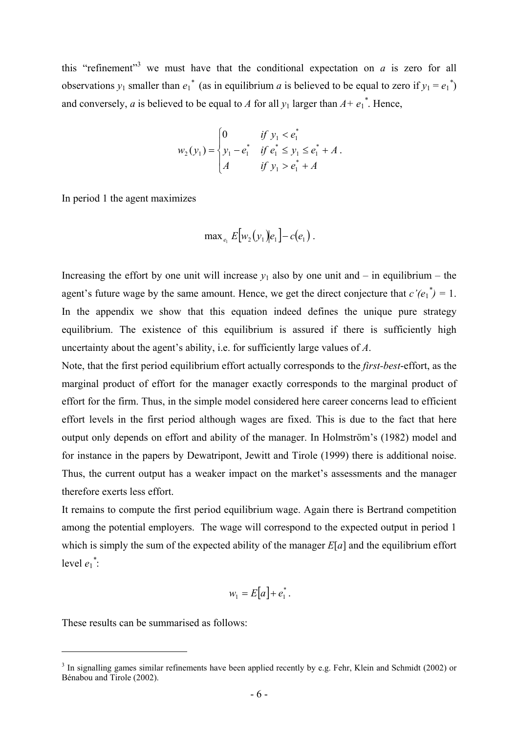this "refinement"<sup>3</sup> we must have that the conditional expectation on  $a$  is zero for all observations  $y_1$  smaller than  $e_1^*$  (as in equilibrium *a* is believed to be equal to zero if  $y_1 = e_1^*$ ) and conversely, *a* is believed to be equal to *A* for all  $y_1$  larger than  $A + e_1^*$ . Hence,

$$
w_2(y_1) = \begin{cases} 0 & \text{if } y_1 < e_1^* \\ y_1 - e_1^* & \text{if } e_1^* \le y_1 \le e_1^* + A \\ A & \text{if } y_1 > e_1^* + A \end{cases}
$$

In period 1 the agent maximizes

$$
\max_{e_1} E[w_2(y_1)]e_1] - c(e_1).
$$

Increasing the effort by one unit will increase  $y_1$  also by one unit and – in equilibrium – the agent's future wage by the same amount. Hence, we get the direct conjecture that  $c'(e_1^*) = 1$ . In the appendix we show that this equation indeed defines the unique pure strategy equilibrium. The existence of this equilibrium is assured if there is sufficiently high uncertainty about the agent's ability, i.e. for sufficiently large values of *A*.

Note, that the first period equilibrium effort actually corresponds to the *first-best*-effort, as the marginal product of effort for the manager exactly corresponds to the marginal product of effort for the firm. Thus, in the simple model considered here career concerns lead to efficient effort levels in the first period although wages are fixed. This is due to the fact that here output only depends on effort and ability of the manager. In Holmström's (1982) model and for instance in the papers by Dewatripont, Jewitt and Tirole (1999) there is additional noise. Thus, the current output has a weaker impact on the market's assessments and the manager therefore exerts less effort.

It remains to compute the first period equilibrium wage. Again there is Bertrand competition among the potential employers. The wage will correspond to the expected output in period 1 which is simply the sum of the expected ability of the manager *E*[*a*] and the equilibrium effort level *e*<sup>1</sup> *\** :

$$
w_1 = E[a] + e_1^*.
$$

These results can be summarised as follows:

 $3$  In signalling games similar refinements have been applied recently by e.g. Fehr, Klein and Schmidt (2002) or Bénabou and Tirole (2002).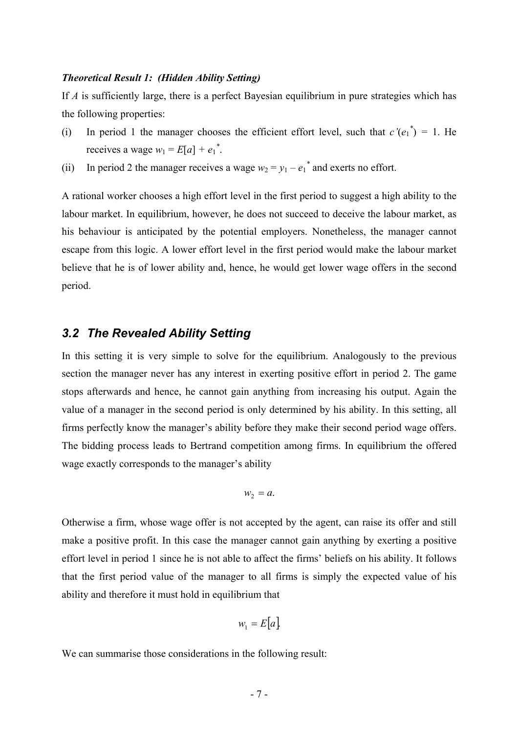#### *Theoretical Result 1: (Hidden Ability Setting)*

If *A* is sufficiently large, there is a perfect Bayesian equilibrium in pure strategies which has the following properties:

- (i) In period 1 the manager chooses the efficient effort level, such that  $c'(e_1^*) = 1$ . He receives a wage  $w_1 = E[a] + e_1^*$ .
- (ii) In period 2 the manager receives a wage  $w_2 = y_1 e_1^*$  and exerts no effort.

A rational worker chooses a high effort level in the first period to suggest a high ability to the labour market. In equilibrium, however, he does not succeed to deceive the labour market, as his behaviour is anticipated by the potential employers. Nonetheless, the manager cannot escape from this logic. A lower effort level in the first period would make the labour market believe that he is of lower ability and, hence, he would get lower wage offers in the second period.

#### *3.2 The Revealed Ability Setting*

In this setting it is very simple to solve for the equilibrium. Analogously to the previous section the manager never has any interest in exerting positive effort in period 2. The game stops afterwards and hence, he cannot gain anything from increasing his output. Again the value of a manager in the second period is only determined by his ability. In this setting, all firms perfectly know the manager's ability before they make their second period wage offers. The bidding process leads to Bertrand competition among firms. In equilibrium the offered wage exactly corresponds to the manager's ability

$$
w_2 = a.
$$

Otherwise a firm, whose wage offer is not accepted by the agent, can raise its offer and still make a positive profit. In this case the manager cannot gain anything by exerting a positive effort level in period 1 since he is not able to affect the firms' beliefs on his ability. It follows that the first period value of the manager to all firms is simply the expected value of his ability and therefore it must hold in equilibrium that

$$
w_1 = E[a].
$$

We can summarise those considerations in the following result: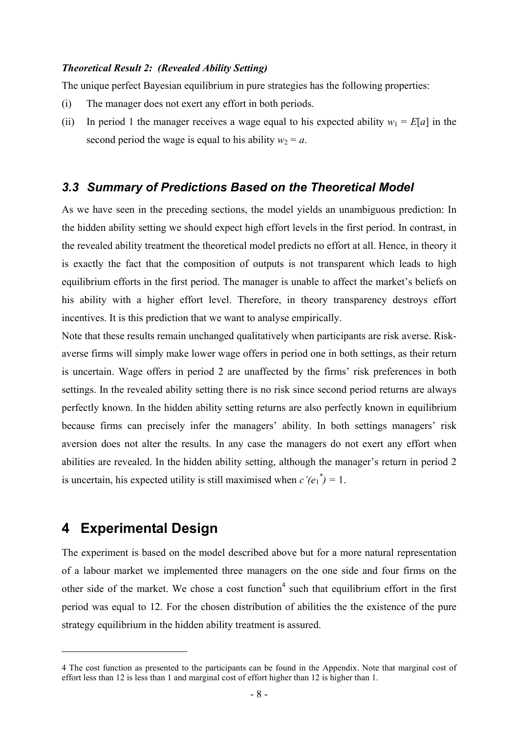#### *Theoretical Result 2: (Revealed Ability Setting)*

The unique perfect Bayesian equilibrium in pure strategies has the following properties:

- (i) The manager does not exert any effort in both periods.
- (ii) In period 1 the manager receives a wage equal to his expected ability  $w_1 = E[a]$  in the second period the wage is equal to his ability  $w_2 = a$ .

#### *3.3 Summary of Predictions Based on the Theoretical Model*

As we have seen in the preceding sections, the model yields an unambiguous prediction: In the hidden ability setting we should expect high effort levels in the first period. In contrast, in the revealed ability treatment the theoretical model predicts no effort at all. Hence, in theory it is exactly the fact that the composition of outputs is not transparent which leads to high equilibrium efforts in the first period. The manager is unable to affect the market's beliefs on his ability with a higher effort level. Therefore, in theory transparency destroys effort incentives. It is this prediction that we want to analyse empirically.

Note that these results remain unchanged qualitatively when participants are risk averse. Riskaverse firms will simply make lower wage offers in period one in both settings, as their return is uncertain. Wage offers in period 2 are unaffected by the firms' risk preferences in both settings. In the revealed ability setting there is no risk since second period returns are always perfectly known. In the hidden ability setting returns are also perfectly known in equilibrium because firms can precisely infer the managers' ability. In both settings managers' risk aversion does not alter the results. In any case the managers do not exert any effort when abilities are revealed. In the hidden ability setting, although the manager's return in period 2 is uncertain, his expected utility is still maximised when  $c'(e_1^*) = 1$ .

## **4 Experimental Design**

 $\overline{a}$ 

The experiment is based on the model described above but for a more natural representation of a labour market we implemented three managers on the one side and four firms on the other side of the market. We chose a cost function<sup>4</sup> such that equilibrium effort in the first period was equal to 12. For the chosen distribution of abilities the the existence of the pure strategy equilibrium in the hidden ability treatment is assured.

<sup>4</sup> The cost function as presented to the participants can be found in the Appendix. Note that marginal cost of effort less than 12 is less than 1 and marginal cost of effort higher than 12 is higher than 1.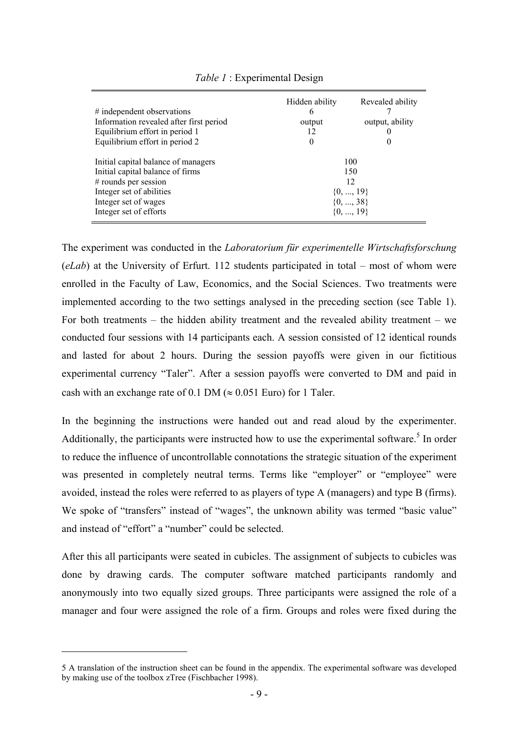| $#$ independent observations<br>Information revealed after first period<br>Equilibrium effort in period 1<br>Equilibrium effort in period 2 | Hidden ability<br>6<br>output<br>12<br>$\theta$ | Revealed ability<br>output, ability<br>O<br>0 |
|---------------------------------------------------------------------------------------------------------------------------------------------|-------------------------------------------------|-----------------------------------------------|
| Initial capital balance of managers                                                                                                         | 100                                             |                                               |
| Initial capital balance of firms                                                                                                            | 150                                             |                                               |
| $#$ rounds per session                                                                                                                      | 12                                              |                                               |
| Integer set of abilities                                                                                                                    | $\{0, , 19\}$                                   |                                               |
| Integer set of wages                                                                                                                        | $\{0, , 38\}$                                   |                                               |
| Integer set of efforts                                                                                                                      | $\{0, , 19\}$                                   |                                               |

#### *Table 1* : Experimental Design

The experiment was conducted in the *Laboratorium für experimentelle Wirtschaftsforschung* (*eLab*) at the University of Erfurt. 112 students participated in total – most of whom were enrolled in the Faculty of Law, Economics, and the Social Sciences. Two treatments were implemented according to the two settings analysed in the preceding section (see Table 1). For both treatments – the hidden ability treatment and the revealed ability treatment – we conducted four sessions with 14 participants each. A session consisted of 12 identical rounds and lasted for about 2 hours. During the session payoffs were given in our fictitious experimental currency "Taler". After a session payoffs were converted to DM and paid in cash with an exchange rate of 0.1 DM ( $\approx$  0.051 Euro) for 1 Taler.

In the beginning the instructions were handed out and read aloud by the experimenter. Additionally, the participants were instructed how to use the experimental software.<sup>5</sup> In order to reduce the influence of uncontrollable connotations the strategic situation of the experiment was presented in completely neutral terms. Terms like "employer" or "employee" were avoided, instead the roles were referred to as players of type A (managers) and type B (firms). We spoke of "transfers" instead of "wages", the unknown ability was termed "basic value" and instead of "effort" a "number" could be selected.

After this all participants were seated in cubicles. The assignment of subjects to cubicles was done by drawing cards. The computer software matched participants randomly and anonymously into two equally sized groups. Three participants were assigned the role of a manager and four were assigned the role of a firm. Groups and roles were fixed during the

<sup>5</sup> A translation of the instruction sheet can be found in the appendix. The experimental software was developed by making use of the toolbox zTree (Fischbacher 1998).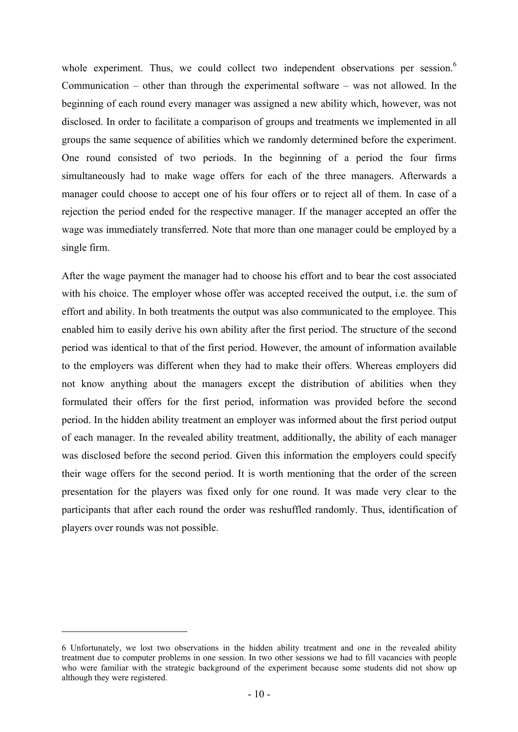whole experiment. Thus, we could collect two independent observations per session.<sup>6</sup> Communication – other than through the experimental software – was not allowed. In the beginning of each round every manager was assigned a new ability which, however, was not disclosed. In order to facilitate a comparison of groups and treatments we implemented in all groups the same sequence of abilities which we randomly determined before the experiment. One round consisted of two periods. In the beginning of a period the four firms simultaneously had to make wage offers for each of the three managers. Afterwards a manager could choose to accept one of his four offers or to reject all of them. In case of a rejection the period ended for the respective manager. If the manager accepted an offer the wage was immediately transferred. Note that more than one manager could be employed by a single firm.

After the wage payment the manager had to choose his effort and to bear the cost associated with his choice. The employer whose offer was accepted received the output, i.e. the sum of effort and ability. In both treatments the output was also communicated to the employee. This enabled him to easily derive his own ability after the first period. The structure of the second period was identical to that of the first period. However, the amount of information available to the employers was different when they had to make their offers. Whereas employers did not know anything about the managers except the distribution of abilities when they formulated their offers for the first period, information was provided before the second period. In the hidden ability treatment an employer was informed about the first period output of each manager. In the revealed ability treatment, additionally, the ability of each manager was disclosed before the second period. Given this information the employers could specify their wage offers for the second period. It is worth mentioning that the order of the screen presentation for the players was fixed only for one round. It was made very clear to the participants that after each round the order was reshuffled randomly. Thus, identification of players over rounds was not possible.

<sup>6</sup> Unfortunately, we lost two observations in the hidden ability treatment and one in the revealed ability treatment due to computer problems in one session. In two other sessions we had to fill vacancies with people who were familiar with the strategic background of the experiment because some students did not show up although they were registered.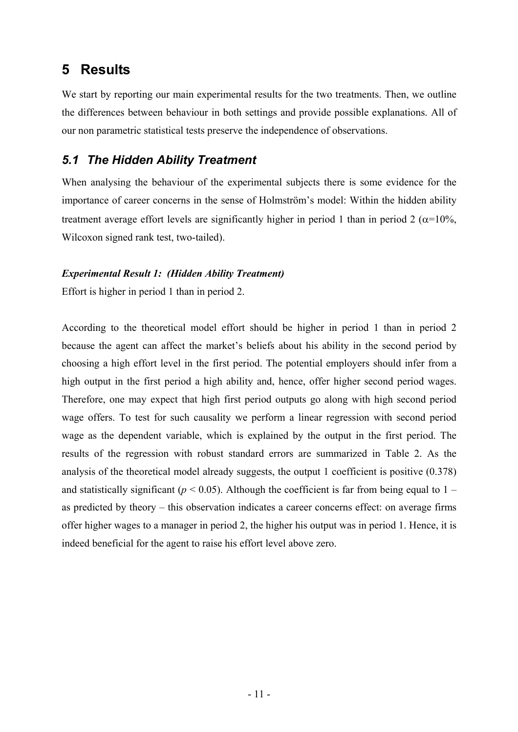## **5 Results**

We start by reporting our main experimental results for the two treatments. Then, we outline the differences between behaviour in both settings and provide possible explanations. All of our non parametric statistical tests preserve the independence of observations.

## *5.1 The Hidden Ability Treatment*

When analysing the behaviour of the experimental subjects there is some evidence for the importance of career concerns in the sense of Holmström's model: Within the hidden ability treatment average effort levels are significantly higher in period 1 than in period 2 ( $\alpha$ =10%, Wilcoxon signed rank test, two-tailed).

#### *Experimental Result 1: (Hidden Ability Treatment)*

Effort is higher in period 1 than in period 2.

According to the theoretical model effort should be higher in period 1 than in period 2 because the agent can affect the market's beliefs about his ability in the second period by choosing a high effort level in the first period. The potential employers should infer from a high output in the first period a high ability and, hence, offer higher second period wages. Therefore, one may expect that high first period outputs go along with high second period wage offers. To test for such causality we perform a linear regression with second period wage as the dependent variable, which is explained by the output in the first period. The results of the regression with robust standard errors are summarized in Table 2. As the analysis of the theoretical model already suggests, the output 1 coefficient is positive (0.378) and statistically significant ( $p < 0.05$ ). Although the coefficient is far from being equal to  $1$ as predicted by theory – this observation indicates a career concerns effect: on average firms offer higher wages to a manager in period 2, the higher his output was in period 1. Hence, it is indeed beneficial for the agent to raise his effort level above zero.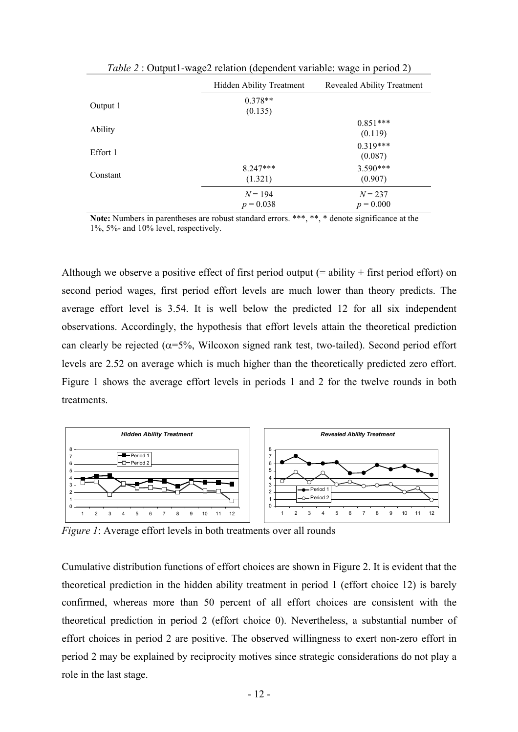|          | <b>Hidden Ability Treatment</b> | Revealed Ability Treatment |
|----------|---------------------------------|----------------------------|
| Output 1 | $0.378**$<br>(0.135)            |                            |
| Ability  |                                 | $0.851***$<br>(0.119)      |
| Effort 1 |                                 | $0.319***$<br>(0.087)      |
| Constant | $8.247***$<br>(1.321)           | $3.590***$<br>(0.907)      |
|          | $N = 194$<br>$p = 0.038$        | $N = 237$<br>$p = 0.000$   |

*Table 2* : Output1-wage2 relation (dependent variable: wage in period 2)

Note: Numbers in parentheses are robust standard errors. \*\*\*, \*\*, \* denote significance at the 1%, 5%- and 10% level, respectively.

Although we observe a positive effect of first period output  $(=$  ability  $+$  first period effort) on second period wages, first period effort levels are much lower than theory predicts. The average effort level is 3.54. It is well below the predicted 12 for all six independent observations. Accordingly, the hypothesis that effort levels attain the theoretical prediction can clearly be rejected ( $\alpha$ =5%, Wilcoxon signed rank test, two-tailed). Second period effort levels are 2.52 on average which is much higher than the theoretically predicted zero effort. Figure 1 shows the average effort levels in periods 1 and 2 for the twelve rounds in both treatments.



*Figure 1*: Average effort levels in both treatments over all rounds

Cumulative distribution functions of effort choices are shown in Figure 2. It is evident that the theoretical prediction in the hidden ability treatment in period 1 (effort choice 12) is barely confirmed, whereas more than 50 percent of all effort choices are consistent with the theoretical prediction in period 2 (effort choice 0). Nevertheless, a substantial number of effort choices in period 2 are positive. The observed willingness to exert non-zero effort in period 2 may be explained by reciprocity motives since strategic considerations do not play a role in the last stage.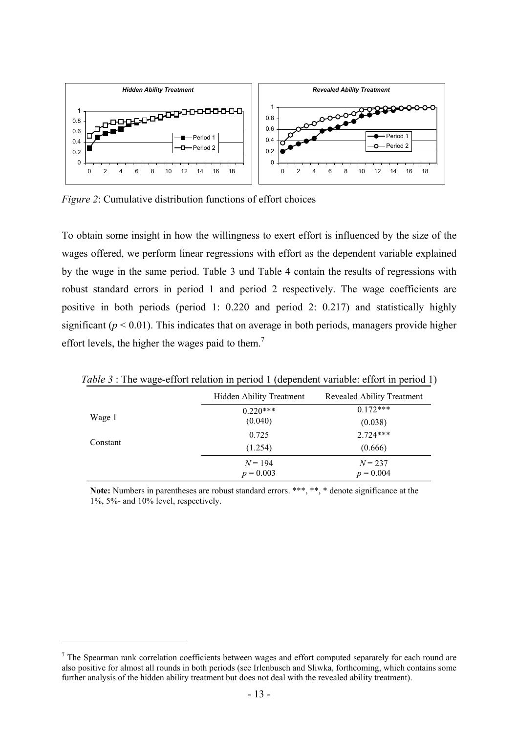

*Figure 2*: Cumulative distribution functions of effort choices

To obtain some insight in how the willingness to exert effort is influenced by the size of the wages offered, we perform linear regressions with effort as the dependent variable explained by the wage in the same period. Table 3 und Table 4 contain the results of regressions with robust standard errors in period 1 and period 2 respectively. The wage coefficients are positive in both periods (period 1: 0.220 and period 2: 0.217) and statistically highly significant ( $p < 0.01$ ). This indicates that on average in both periods, managers provide higher effort levels, the higher the wages paid to them.<sup>7</sup>

|          | <b>Hidden Ability Treatment</b> | Revealed Ability Treatment |
|----------|---------------------------------|----------------------------|
| Wage 1   | $0.220***$                      | $0.172***$                 |
|          | (0.040)                         | (0.038)                    |
| Constant | 0.725                           | $2.724***$                 |
|          | (1.254)                         | (0.666)                    |
|          | $N = 194$                       | $N = 237$                  |
|          | $p = 0.003$                     | $p = 0.004$                |

*Table 3* : The wage-effort relation in period 1 (dependent variable: effort in period 1)

Note: Numbers in parentheses are robust standard errors. \*\*\*, \*\*, \* denote significance at the 1%, 5%- and 10% level, respectively.

 $<sup>7</sup>$  The Spearman rank correlation coefficients between wages and effort computed separately for each round are</sup> also positive for almost all rounds in both periods (see Irlenbusch and Sliwka, forthcoming, which contains some further analysis of the hidden ability treatment but does not deal with the revealed ability treatment).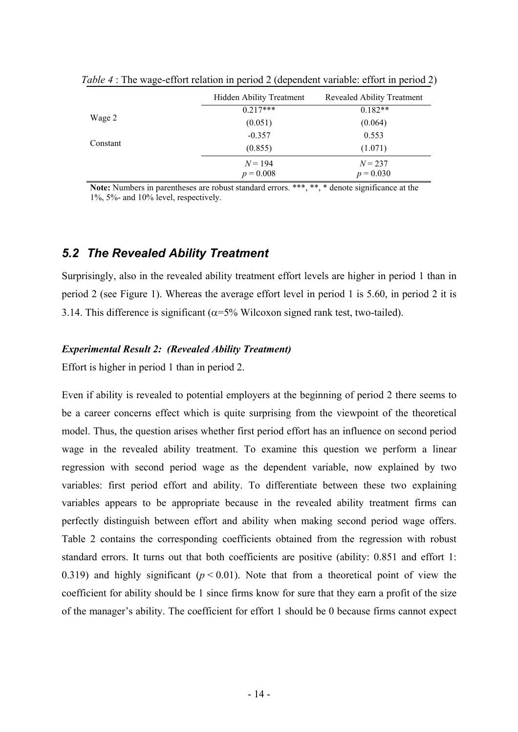|          | <b>Hidden Ability Treatment</b> | Revealed Ability Treatment |
|----------|---------------------------------|----------------------------|
| Wage 2   | $0.217***$                      | $0.182**$                  |
|          | (0.051)                         | (0.064)                    |
| Constant | $-0.357$                        | 0.553                      |
|          | (0.855)                         | (1.071)                    |
|          | $N = 194$                       | $N = 237$                  |
|          | $p = 0.008$                     | $p = 0.030$                |

*Table 4* : The wage-effort relation in period 2 (dependent variable: effort in period 2)

Note: Numbers in parentheses are robust standard errors. \*\*\*, \*\*, \* denote significance at the 1%, 5%- and 10% level, respectively.

### *5.2 The Revealed Ability Treatment*

Surprisingly, also in the revealed ability treatment effort levels are higher in period 1 than in period 2 (see Figure 1). Whereas the average effort level in period 1 is 5.60, in period 2 it is 3.14. This difference is significant ( $\alpha$ =5% Wilcoxon signed rank test, two-tailed).

#### *Experimental Result 2: (Revealed Ability Treatment)*

Effort is higher in period 1 than in period 2.

Even if ability is revealed to potential employers at the beginning of period 2 there seems to be a career concerns effect which is quite surprising from the viewpoint of the theoretical model. Thus, the question arises whether first period effort has an influence on second period wage in the revealed ability treatment. To examine this question we perform a linear regression with second period wage as the dependent variable, now explained by two variables: first period effort and ability. To differentiate between these two explaining variables appears to be appropriate because in the revealed ability treatment firms can perfectly distinguish between effort and ability when making second period wage offers. Table 2 contains the corresponding coefficients obtained from the regression with robust standard errors. It turns out that both coefficients are positive (ability: 0.851 and effort 1: 0.319) and highly significant  $(p < 0.01)$ . Note that from a theoretical point of view the coefficient for ability should be 1 since firms know for sure that they earn a profit of the size of the manager's ability. The coefficient for effort 1 should be 0 because firms cannot expect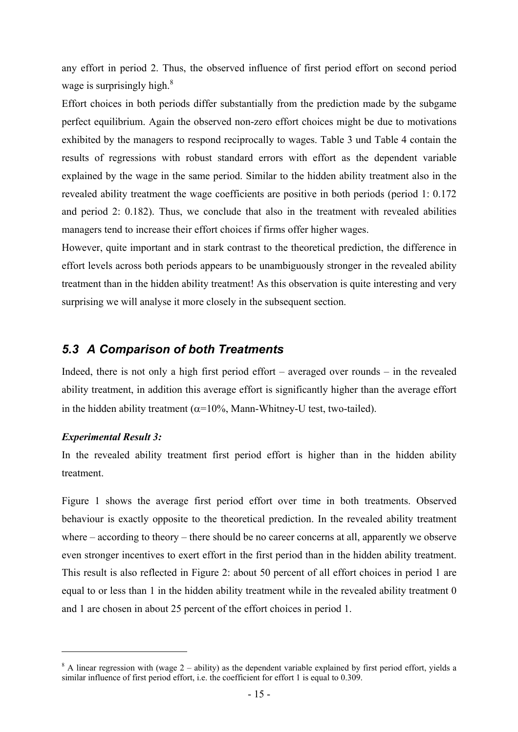any effort in period 2. Thus, the observed influence of first period effort on second period wage is surprisingly high. $8<sup>8</sup>$ 

Effort choices in both periods differ substantially from the prediction made by the subgame perfect equilibrium. Again the observed non-zero effort choices might be due to motivations exhibited by the managers to respond reciprocally to wages. Table 3 und Table 4 contain the results of regressions with robust standard errors with effort as the dependent variable explained by the wage in the same period. Similar to the hidden ability treatment also in the revealed ability treatment the wage coefficients are positive in both periods (period 1: 0.172 and period 2: 0.182). Thus, we conclude that also in the treatment with revealed abilities managers tend to increase their effort choices if firms offer higher wages.

However, quite important and in stark contrast to the theoretical prediction, the difference in effort levels across both periods appears to be unambiguously stronger in the revealed ability treatment than in the hidden ability treatment! As this observation is quite interesting and very surprising we will analyse it more closely in the subsequent section.

#### *5.3 A Comparison of both Treatments*

Indeed, there is not only a high first period effort – averaged over rounds – in the revealed ability treatment, in addition this average effort is significantly higher than the average effort in the hidden ability treatment ( $\alpha$ =10%, Mann-Whitney-U test, two-tailed).

#### *Experimental Result 3:*

 $\overline{a}$ 

In the revealed ability treatment first period effort is higher than in the hidden ability treatment.

Figure 1 shows the average first period effort over time in both treatments. Observed behaviour is exactly opposite to the theoretical prediction. In the revealed ability treatment where – according to theory – there should be no career concerns at all, apparently we observe even stronger incentives to exert effort in the first period than in the hidden ability treatment. This result is also reflected in Figure 2: about 50 percent of all effort choices in period 1 are equal to or less than 1 in the hidden ability treatment while in the revealed ability treatment 0 and 1 are chosen in about 25 percent of the effort choices in period 1.

 $8$  A linear regression with (wage 2 – ability) as the dependent variable explained by first period effort, yields a similar influence of first period effort, i.e. the coefficient for effort 1 is equal to 0.309.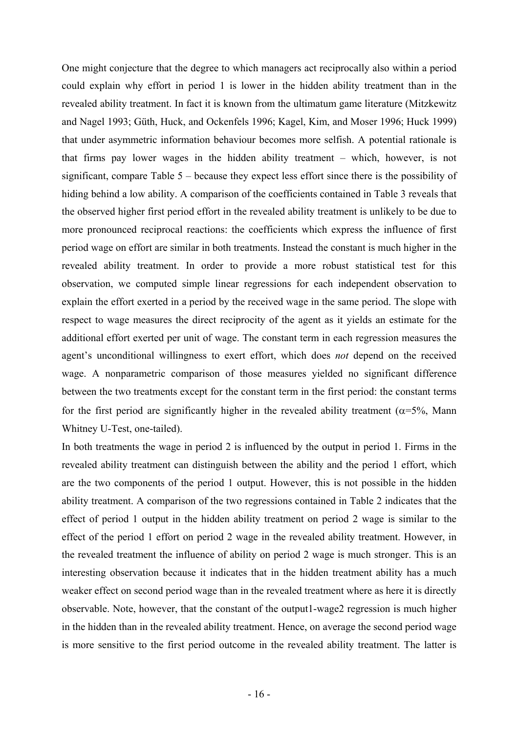One might conjecture that the degree to which managers act reciprocally also within a period could explain why effort in period 1 is lower in the hidden ability treatment than in the revealed ability treatment. In fact it is known from the ultimatum game literature (Mitzkewitz and Nagel 1993; Güth, Huck, and Ockenfels 1996; Kagel, Kim, and Moser 1996; Huck 1999) that under asymmetric information behaviour becomes more selfish. A potential rationale is that firms pay lower wages in the hidden ability treatment – which, however, is not significant, compare Table 5 – because they expect less effort since there is the possibility of hiding behind a low ability. A comparison of the coefficients contained in Table 3 reveals that the observed higher first period effort in the revealed ability treatment is unlikely to be due to more pronounced reciprocal reactions: the coefficients which express the influence of first period wage on effort are similar in both treatments. Instead the constant is much higher in the revealed ability treatment. In order to provide a more robust statistical test for this observation, we computed simple linear regressions for each independent observation to explain the effort exerted in a period by the received wage in the same period. The slope with respect to wage measures the direct reciprocity of the agent as it yields an estimate for the additional effort exerted per unit of wage. The constant term in each regression measures the agent's unconditional willingness to exert effort, which does *not* depend on the received wage. A nonparametric comparison of those measures yielded no significant difference between the two treatments except for the constant term in the first period: the constant terms for the first period are significantly higher in the revealed ability treatment ( $\alpha$ =5%, Mann Whitney U-Test, one-tailed).

In both treatments the wage in period 2 is influenced by the output in period 1. Firms in the revealed ability treatment can distinguish between the ability and the period 1 effort, which are the two components of the period 1 output. However, this is not possible in the hidden ability treatment. A comparison of the two regressions contained in Table 2 indicates that the effect of period 1 output in the hidden ability treatment on period 2 wage is similar to the effect of the period 1 effort on period 2 wage in the revealed ability treatment. However, in the revealed treatment the influence of ability on period 2 wage is much stronger. This is an interesting observation because it indicates that in the hidden treatment ability has a much weaker effect on second period wage than in the revealed treatment where as here it is directly observable. Note, however, that the constant of the output1-wage2 regression is much higher in the hidden than in the revealed ability treatment. Hence, on average the second period wage is more sensitive to the first period outcome in the revealed ability treatment. The latter is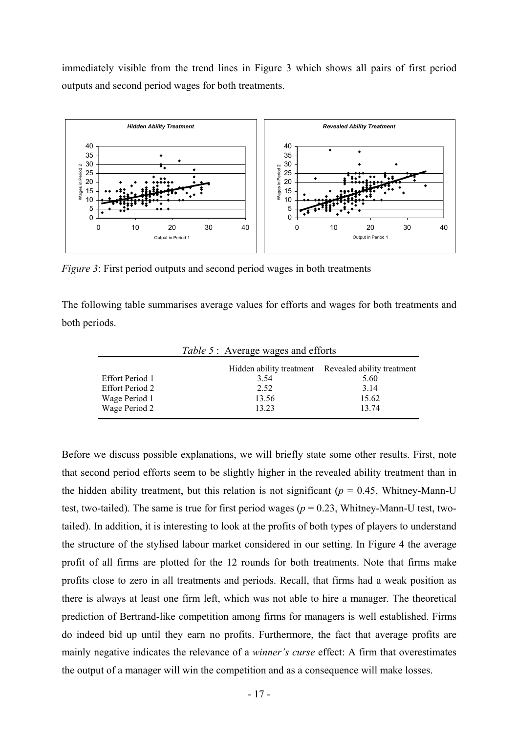immediately visible from the trend lines in Figure 3 which shows all pairs of first period outputs and second period wages for both treatments.



*Figure 3*: First period outputs and second period wages in both treatments

The following table summarises average values for efforts and wages for both treatments and both periods.

|                        |       | Hidden ability treatment Revealed ability treatment |
|------------------------|-------|-----------------------------------------------------|
| Effort Period 1        | 3.54  | 5.60                                                |
| <b>Effort Period 2</b> | 2.52  | 3 1 4                                               |
| Wage Period 1          | 13.56 | 15.62                                               |
| Wage Period 2          | 13.23 | 13 74                                               |
|                        |       |                                                     |

*Table 5* : Average wages and efforts

Before we discuss possible explanations, we will briefly state some other results. First, note that second period efforts seem to be slightly higher in the revealed ability treatment than in the hidden ability treatment, but this relation is not significant ( $p = 0.45$ , Whitney-Mann-U test, two-tailed). The same is true for first period wages ( $p = 0.23$ , Whitney-Mann-U test, twotailed). In addition, it is interesting to look at the profits of both types of players to understand the structure of the stylised labour market considered in our setting. In Figure 4 the average profit of all firms are plotted for the 12 rounds for both treatments. Note that firms make profits close to zero in all treatments and periods. Recall, that firms had a weak position as there is always at least one firm left, which was not able to hire a manager. The theoretical prediction of Bertrand-like competition among firms for managers is well established. Firms do indeed bid up until they earn no profits. Furthermore, the fact that average profits are mainly negative indicates the relevance of a *winner's curse* effect: A firm that overestimates the output of a manager will win the competition and as a consequence will make losses.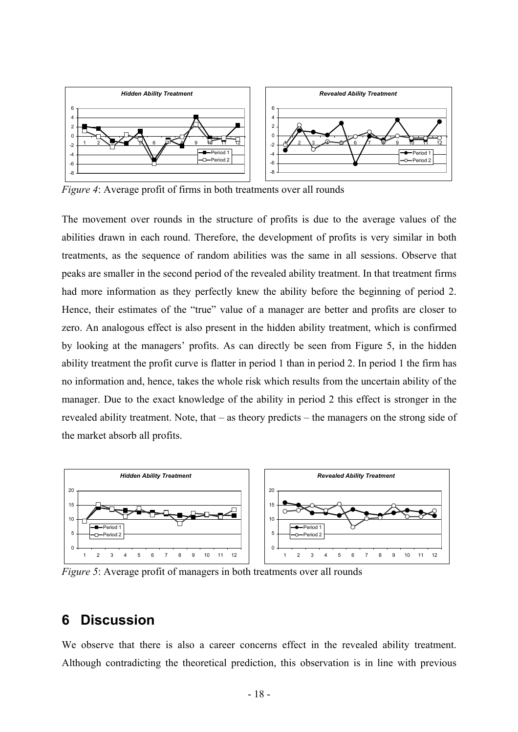

*Figure 4*: Average profit of firms in both treatments over all rounds

The movement over rounds in the structure of profits is due to the average values of the abilities drawn in each round. Therefore, the development of profits is very similar in both treatments, as the sequence of random abilities was the same in all sessions. Observe that peaks are smaller in the second period of the revealed ability treatment. In that treatment firms had more information as they perfectly knew the ability before the beginning of period 2. Hence, their estimates of the "true" value of a manager are better and profits are closer to zero. An analogous effect is also present in the hidden ability treatment, which is confirmed by looking at the managers' profits. As can directly be seen from Figure 5, in the hidden ability treatment the profit curve is flatter in period 1 than in period 2. In period 1 the firm has no information and, hence, takes the whole risk which results from the uncertain ability of the manager. Due to the exact knowledge of the ability in period 2 this effect is stronger in the revealed ability treatment. Note, that – as theory predicts – the managers on the strong side of the market absorb all profits.



*Figure 5*: Average profit of managers in both treatments over all rounds

## **6 Discussion**

We observe that there is also a career concerns effect in the revealed ability treatment. Although contradicting the theoretical prediction, this observation is in line with previous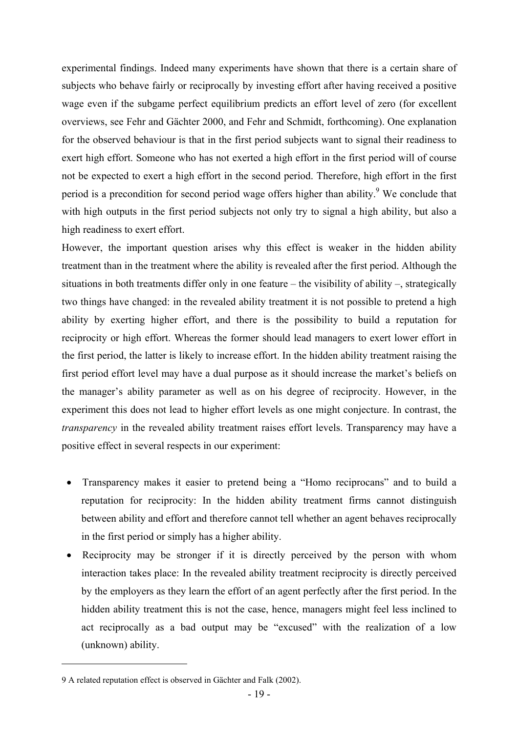experimental findings. Indeed many experiments have shown that there is a certain share of subjects who behave fairly or reciprocally by investing effort after having received a positive wage even if the subgame perfect equilibrium predicts an effort level of zero (for excellent overviews, see Fehr and Gächter 2000, and Fehr and Schmidt, forthcoming). One explanation for the observed behaviour is that in the first period subjects want to signal their readiness to exert high effort. Someone who has not exerted a high effort in the first period will of course not be expected to exert a high effort in the second period. Therefore, high effort in the first period is a precondition for second period wage offers higher than ability.<sup>9</sup> We conclude that with high outputs in the first period subjects not only try to signal a high ability, but also a high readiness to exert effort.

However, the important question arises why this effect is weaker in the hidden ability treatment than in the treatment where the ability is revealed after the first period. Although the situations in both treatments differ only in one feature – the visibility of ability –, strategically two things have changed: in the revealed ability treatment it is not possible to pretend a high ability by exerting higher effort, and there is the possibility to build a reputation for reciprocity or high effort. Whereas the former should lead managers to exert lower effort in the first period, the latter is likely to increase effort. In the hidden ability treatment raising the first period effort level may have a dual purpose as it should increase the market's beliefs on the manager's ability parameter as well as on his degree of reciprocity. However, in the experiment this does not lead to higher effort levels as one might conjecture. In contrast, the *transparency* in the revealed ability treatment raises effort levels. Transparency may have a positive effect in several respects in our experiment:

- Transparency makes it easier to pretend being a "Homo reciprocans" and to build a reputation for reciprocity: In the hidden ability treatment firms cannot distinguish between ability and effort and therefore cannot tell whether an agent behaves reciprocally in the first period or simply has a higher ability.
- Reciprocity may be stronger if it is directly perceived by the person with whom interaction takes place: In the revealed ability treatment reciprocity is directly perceived by the employers as they learn the effort of an agent perfectly after the first period. In the hidden ability treatment this is not the case, hence, managers might feel less inclined to act reciprocally as a bad output may be "excused" with the realization of a low (unknown) ability.

<sup>9</sup> A related reputation effect is observed in Gächter and Falk (2002).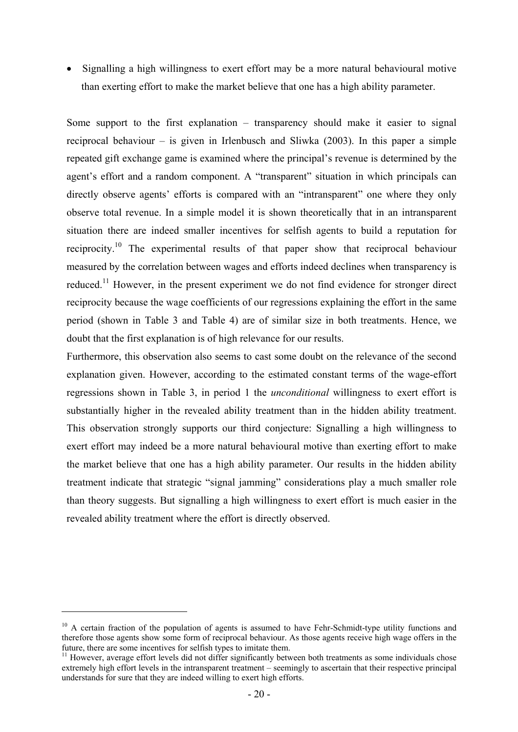Signalling a high willingness to exert effort may be a more natural behavioural motive than exerting effort to make the market believe that one has a high ability parameter.

Some support to the first explanation – transparency should make it easier to signal reciprocal behaviour – is given in Irlenbusch and Sliwka (2003). In this paper a simple repeated gift exchange game is examined where the principal's revenue is determined by the agent's effort and a random component. A "transparent" situation in which principals can directly observe agents' efforts is compared with an "intransparent" one where they only observe total revenue. In a simple model it is shown theoretically that in an intransparent situation there are indeed smaller incentives for selfish agents to build a reputation for reciprocity.10 The experimental results of that paper show that reciprocal behaviour measured by the correlation between wages and efforts indeed declines when transparency is reduced.11 However, in the present experiment we do not find evidence for stronger direct reciprocity because the wage coefficients of our regressions explaining the effort in the same period (shown in Table 3 and Table 4) are of similar size in both treatments. Hence, we doubt that the first explanation is of high relevance for our results.

Furthermore, this observation also seems to cast some doubt on the relevance of the second explanation given. However, according to the estimated constant terms of the wage-effort regressions shown in Table 3, in period 1 the *unconditional* willingness to exert effort is substantially higher in the revealed ability treatment than in the hidden ability treatment. This observation strongly supports our third conjecture: Signalling a high willingness to exert effort may indeed be a more natural behavioural motive than exerting effort to make the market believe that one has a high ability parameter. Our results in the hidden ability treatment indicate that strategic "signal jamming" considerations play a much smaller role than theory suggests. But signalling a high willingness to exert effort is much easier in the revealed ability treatment where the effort is directly observed.

 $10$  A certain fraction of the population of agents is assumed to have Fehr-Schmidt-type utility functions and therefore those agents show some form of reciprocal behaviour. As those agents receive high wage offers in the future, there are some incentives for selfish types to imitate them.

<sup>&</sup>lt;sup>11</sup> However, average effort levels did not differ significantly between both treatments as some individuals chose extremely high effort levels in the intransparent treatment – seemingly to ascertain that their respective principal understands for sure that they are indeed willing to exert high efforts.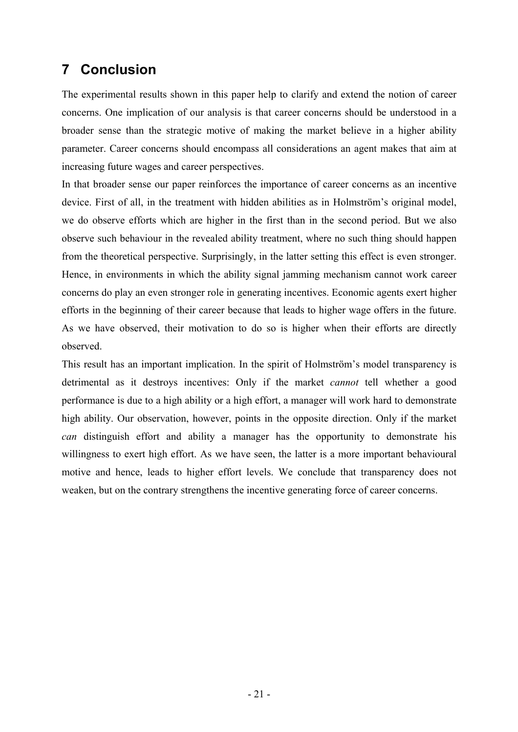## **7 Conclusion**

The experimental results shown in this paper help to clarify and extend the notion of career concerns. One implication of our analysis is that career concerns should be understood in a broader sense than the strategic motive of making the market believe in a higher ability parameter. Career concerns should encompass all considerations an agent makes that aim at increasing future wages and career perspectives.

In that broader sense our paper reinforces the importance of career concerns as an incentive device. First of all, in the treatment with hidden abilities as in Holmström's original model, we do observe efforts which are higher in the first than in the second period. But we also observe such behaviour in the revealed ability treatment, where no such thing should happen from the theoretical perspective. Surprisingly, in the latter setting this effect is even stronger. Hence, in environments in which the ability signal jamming mechanism cannot work career concerns do play an even stronger role in generating incentives. Economic agents exert higher efforts in the beginning of their career because that leads to higher wage offers in the future. As we have observed, their motivation to do so is higher when their efforts are directly observed.

This result has an important implication. In the spirit of Holmström's model transparency is detrimental as it destroys incentives: Only if the market *cannot* tell whether a good performance is due to a high ability or a high effort, a manager will work hard to demonstrate high ability. Our observation, however, points in the opposite direction. Only if the market *can* distinguish effort and ability a manager has the opportunity to demonstrate his willingness to exert high effort. As we have seen, the latter is a more important behavioural motive and hence, leads to higher effort levels. We conclude that transparency does not weaken, but on the contrary strengthens the incentive generating force of career concerns.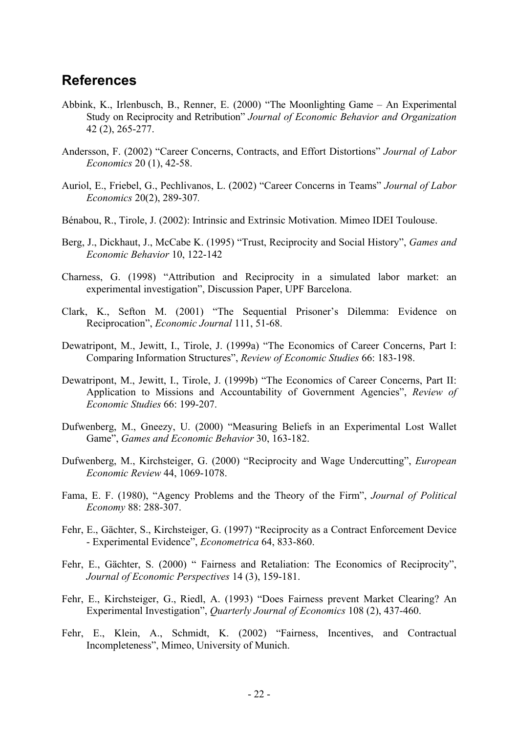## **References**

- Abbink, K., Irlenbusch, B., Renner, E. (2000) "The Moonlighting Game An Experimental Study on Reciprocity and Retribution" *Journal of Economic Behavior and Organization* 42 (2), 265-277.
- Andersson, F. (2002) "Career Concerns, Contracts, and Effort Distortions" *Journal of Labor Economics* 20 (1), 42-58.
- Auriol, E., Friebel, G., Pechlivanos, L. (2002) "Career Concerns in Teams" *Journal of Labor Economics* 20(2), 289-307*.*
- Bénabou, R., Tirole, J. (2002): Intrinsic and Extrinsic Motivation. Mimeo IDEI Toulouse.
- Berg, J., Dickhaut, J., McCabe K. (1995) "Trust, Reciprocity and Social History", *Games and Economic Behavior* 10, 122-142
- Charness, G. (1998) "Attribution and Reciprocity in a simulated labor market: an experimental investigation", Discussion Paper, UPF Barcelona.
- Clark, K., Sefton M. (2001) "The Sequential Prisoner's Dilemma: Evidence on Reciprocation", *Economic Journal* 111, 51-68.
- Dewatripont, M., Jewitt, I., Tirole, J. (1999a) "The Economics of Career Concerns, Part I: Comparing Information Structures", *Review of Economic Studies* 66: 183-198.
- Dewatripont, M., Jewitt, I., Tirole, J. (1999b) "The Economics of Career Concerns, Part II: Application to Missions and Accountability of Government Agencies", *Review of Economic Studies* 66: 199-207.
- Dufwenberg, M., Gneezy, U. (2000) "Measuring Beliefs in an Experimental Lost Wallet Game", *Games and Economic Behavior* 30, 163-182.
- Dufwenberg, M., Kirchsteiger, G. (2000) "Reciprocity and Wage Undercutting", *European Economic Review* 44, 1069-1078.
- Fama, E. F. (1980), "Agency Problems and the Theory of the Firm", *Journal of Political Economy* 88: 288-307.
- Fehr, E., Gächter, S., Kirchsteiger, G. (1997) "Reciprocity as a Contract Enforcement Device - Experimental Evidence", *Econometrica* 64, 833-860.
- Fehr, E., Gächter, S. (2000) " Fairness and Retaliation: The Economics of Reciprocity", *Journal of Economic Perspectives* 14 (3), 159-181.
- Fehr, E., Kirchsteiger, G., Riedl, A. (1993) "Does Fairness prevent Market Clearing? An Experimental Investigation", *Quarterly Journal of Economics* 108 (2), 437-460.
- Fehr, E., Klein, A., Schmidt, K. (2002) "Fairness, Incentives, and Contractual Incompleteness", Mimeo, University of Munich.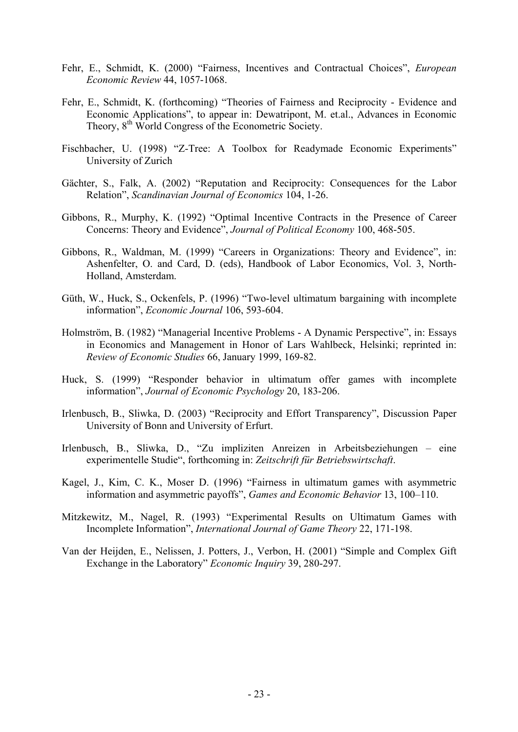- Fehr, E., Schmidt, K. (2000) "Fairness, Incentives and Contractual Choices", *European Economic Review* 44, 1057-1068.
- Fehr, E., Schmidt, K. (forthcoming) "Theories of Fairness and Reciprocity Evidence and Economic Applications", to appear in: Dewatripont, M. et.al., Advances in Economic Theory, 8<sup>th</sup> World Congress of the Econometric Society.
- Fischbacher, U. (1998) "Z-Tree: A Toolbox for Readymade Economic Experiments" University of Zurich
- Gächter, S., Falk, A. (2002) "Reputation and Reciprocity: Consequences for the Labor Relation", *Scandinavian Journal of Economics* 104, 1-26.
- Gibbons, R., Murphy, K. (1992) "Optimal Incentive Contracts in the Presence of Career Concerns: Theory and Evidence", *Journal of Political Economy* 100, 468-505.
- Gibbons, R., Waldman, M. (1999) "Careers in Organizations: Theory and Evidence", in: Ashenfelter, O. and Card, D. (eds), Handbook of Labor Economics, Vol. 3, North-Holland, Amsterdam.
- Güth, W., Huck, S., Ockenfels, P. (1996) "Two-level ultimatum bargaining with incomplete information", *Economic Journal* 106, 593-604.
- Holmström, B. (1982) "Managerial Incentive Problems A Dynamic Perspective", in: Essays in Economics and Management in Honor of Lars Wahlbeck, Helsinki; reprinted in: *Review of Economic Studies* 66, January 1999, 169-82.
- Huck, S. (1999) "Responder behavior in ultimatum offer games with incomplete information", *Journal of Economic Psychology* 20, 183-206.
- Irlenbusch, B., Sliwka, D. (2003) "Reciprocity and Effort Transparency", Discussion Paper University of Bonn and University of Erfurt.
- Irlenbusch, B., Sliwka, D., "Zu impliziten Anreizen in Arbeitsbeziehungen eine experimentelle Studie", forthcoming in: *Zeitschrift für Betriebswirtschaft*.
- Kagel, J., Kim, C. K., Moser D. (1996) "Fairness in ultimatum games with asymmetric information and asymmetric payoffs", *Games and Economic Behavior* 13, 100–110.
- Mitzkewitz, M., Nagel, R. (1993) "Experimental Results on Ultimatum Games with Incomplete Information", *International Journal of Game Theory* 22, 171-198.
- Van der Heijden, E., Nelissen, J. Potters, J., Verbon, H. (2001) "Simple and Complex Gift Exchange in the Laboratory" *Economic Inquiry* 39, 280-297.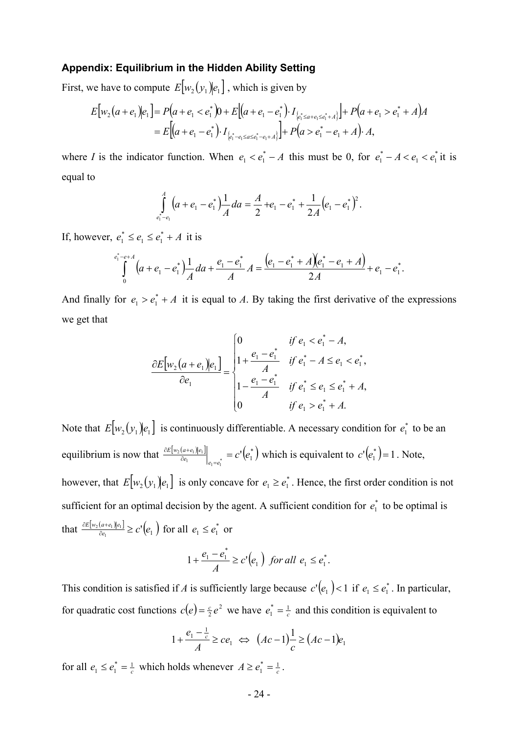#### **Appendix: Equilibrium in the Hidden Ability Setting**

First, we have to compute  $E[w_2(y_1) | e_1]$ , which is given by

$$
E[w_2(a+e_1)e_1] = P(a+e_1 < e_1^*)0 + E[(a+e_1-e_1^*) \cdot I_{\{e_1^* \le a+e_1 \le e_1^*+A\}}] + P(a+e_1 > e_1^* + A)A
$$
  
= 
$$
E[(a+e_1-e_1^*) \cdot I_{\{e_1^* \le a \le e_1^* \le e_1+A\}}] + P(a > e_1^* - e_1 + A) \cdot A,
$$

where *I* is the indicator function. When  $e_1 < e_1^* - A$  this must be 0, for  $e_1^* - A < e_1 < e_1^*$  $e_1^* - A < e_1 < e_1^*$  it is equal to

$$
\int_{e_1-e_1}^{A} (a+e_1-e_1^*) \frac{1}{A} da = \frac{A}{2}+e_1-e_1^*+\frac{1}{2A}(e_1-e_1^*)^2.
$$

If, however,  $e_1^* \le e_1 \le e_1^* + A$  $e_1^* \le e_1 \le e_1^* + A$  it is

$$
\int_{0}^{e_{1}^{*}-e_{1}^{*}A} \left(a+e_{1}-e_{1}^{*}\right) \frac{1}{A} da + \frac{e_{1}-e_{1}^{*}}{A} A = \frac{\left(e_{1}-e_{1}^{*}+A\right)\left(e_{1}^{*}-e_{1}+A\right)}{2A} + e_{1}-e_{1}^{*}.
$$

And finally for  $e_1 > e_1^* + A$  it is equal to *A*. By taking the first derivative of the expressions we get that

$$
\frac{\partial E\big[ w_2(a+e_1)\big]e_1\big]}{\partial e_1} = \begin{cases} 0 & \text{if } e_1 < e_1^* - A, \\ 1 + \frac{e_1 - e_1^*}{A} & \text{if } e_1^* - A \le e_1 < e_1^*, \\ 1 - \frac{e_1 - e_1^*}{A} & \text{if } e_1^* \le e_1 \le e_1^* + A, \\ 0 & \text{if } e_1 > e_1^* + A. \end{cases}
$$

Note that  $E[w_2(y_1)]e_1$  is continuously differentiable. A necessary condition for  $e_1^*$  to be an equilibrium is now that  $\frac{\partial E[w_2(a+e_1)]e_1|}{\partial e_1}$  =  $c'(\mathbf{e}_1^*)$  which is equivalent to  $c'(\mathbf{e}_1^*)=1$ . Note, however, that  $E[w_2(y_1)]e_1$  is only concave for  $e_1 \ge e_1^*$ . Hence, the first order condition is not sufficient for an optimal decision by the agent. A sufficient condition for  $e_1^*$  to be optimal is that  $\frac{\partial E[w_2(a+e_1)]e_1}{\partial e_1} \ge c' (e_1)$  for all  $e_1 \le e_1^*$  or

$$
1 + \frac{e_1 - e_1^*}{A} \ge c'(e_1) \text{ for all } e_1 \le e_1^*.
$$

This condition is satisfied if *A* is sufficiently large because  $c'(e_1) < 1$  if  $e_1 \leq e_1^*$ . In particular, for quadratic cost functions  $c(e) = \frac{c}{2} e^2$  we have  $e_1^* = \frac{1}{c}$  and this condition is equivalent to

$$
1 + \frac{e_1 - \frac{1}{c}}{A} \ge ce_1 \iff (Ac - 1)\frac{1}{c} \ge (Ac - 1)e_1
$$

for all  $e_1 \leq e_1^* = \frac{1}{c}$  which holds whenever  $A \geq e_1^* = \frac{1}{c}$ .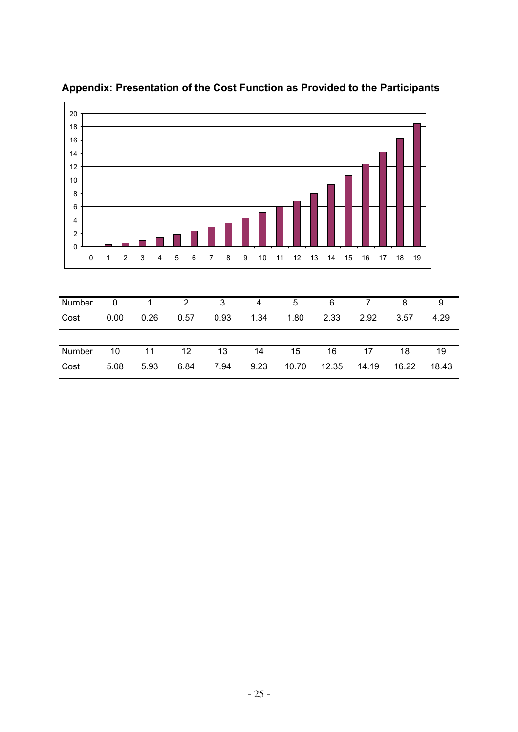

**Appendix: Presentation of the Cost Function as Provided to the Participants**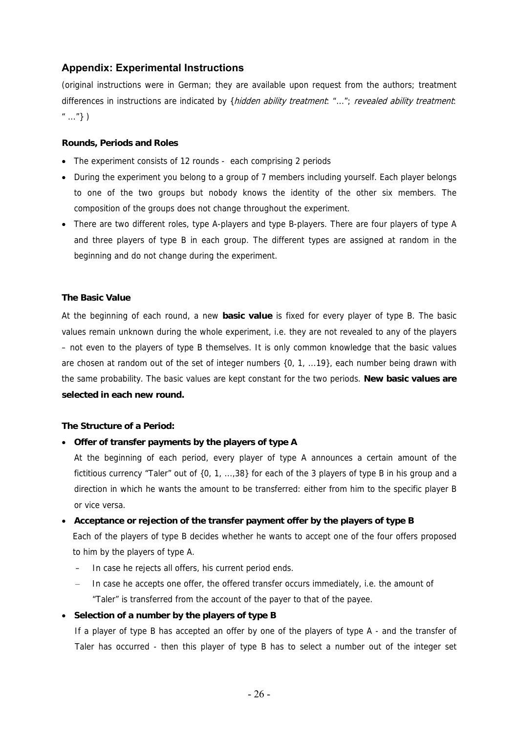#### **Appendix: Experimental Instructions**

(original instructions were in German; they are available upon request from the authors; treatment differences in instructions are indicated by {*hidden ability treatment: "..."; revealed ability treatment:*  $" \ldots" \} )$ 

#### **Rounds, Periods and Roles**

- The experiment consists of 12 rounds each comprising 2 periods
- During the experiment you belong to a group of 7 members including yourself. Each player belongs to one of the two groups but nobody knows the identity of the other six members. The composition of the groups does not change throughout the experiment.
- There are two different roles, type A-players and type B-players. There are four players of type A and three players of type B in each group. The different types are assigned at random in the beginning and do not change during the experiment.

#### **The Basic Value**

At the beginning of each round, a new **basic value** is fixed for every player of type B. The basic values remain unknown during the whole experiment, i.e. they are not revealed to any of the players – not even to the players of type B themselves. It is only common knowledge that the basic values are chosen at random out of the set of integer numbers  $\{0, 1, ...19\}$ , each number being drawn with the same probability. The basic values are kept constant for the two periods. **New basic values are selected in each new round.** 

#### **The Structure of a Period:**

#### • **Offer of transfer payments by the players of type A**

At the beginning of each period, every player of type A announces a certain amount of the fictitious currency "Taler" out of {0, 1, ...,38} for each of the 3 players of type B in his group and a direction in which he wants the amount to be transferred: either from him to the specific player B or vice versa.

#### • **Acceptance or rejection of the transfer payment offer by the players of type B**

Each of the players of type B decides whether he wants to accept one of the four offers proposed to him by the players of type A.

- In case he rejects all offers, his current period ends.
- In case he accepts one offer, the offered transfer occurs immediately, i.e. the amount of "Taler" is transferred from the account of the payer to that of the payee.

#### • **Selection of a number by the players of type B**

If a player of type B has accepted an offer by one of the players of type A - and the transfer of Taler has occurred - then this player of type B has to select a number out of the integer set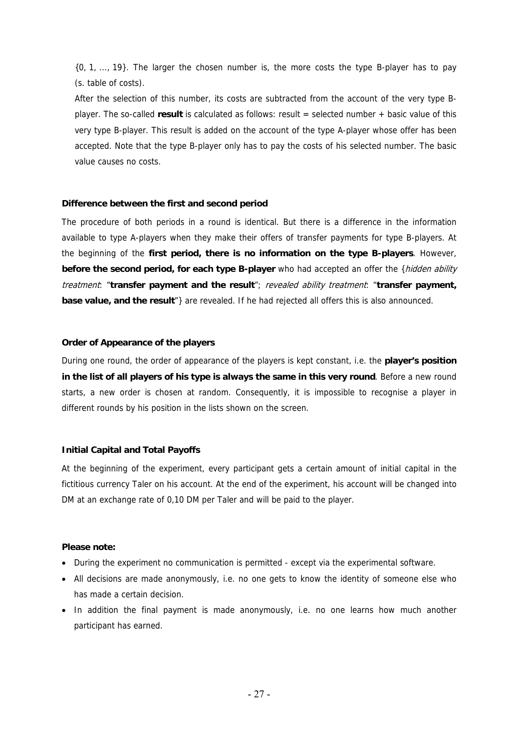{0, 1, ..., 19}. The larger the chosen number is, the more costs the type B-player has to pay (s. table of costs).

After the selection of this number, its costs are subtracted from the account of the very type Bplayer. The so-called **result** is calculated as follows: result = selected number + basic value of this very type B-player. This result is added on the account of the type A-player whose offer has been accepted. Note that the type B-player only has to pay the costs of his selected number. The basic value causes no costs.

#### **Difference between the first and second period**

The procedure of both periods in a round is identical. But there is a difference in the information available to type A-players when they make their offers of transfer payments for type B-players. At the beginning of the **first period, there is no information on the type B-players**. However, **before the second period, for each type B-player** who had accepted an offer the {*hidden ability* treatment: "**transfer payment and the result**"; revealed ability treatment: "**transfer payment, base value, and the result**"} are revealed. If he had rejected all offers this is also announced.

#### **Order of Appearance of the players**

During one round, the order of appearance of the players is kept constant, i.e. the **player's position in the list of all players of his type is always the same in this very round**. Before a new round starts, a new order is chosen at random. Consequently, it is impossible to recognise a player in different rounds by his position in the lists shown on the screen.

#### **Initial Capital and Total Payoffs**

At the beginning of the experiment, every participant gets a certain amount of initial capital in the fictitious currency Taler on his account. At the end of the experiment, his account will be changed into DM at an exchange rate of 0,10 DM per Taler and will be paid to the player.

#### **Please note:**

- During the experiment no communication is permitted except via the experimental software.
- All decisions are made anonymously, i.e. no one gets to know the identity of someone else who has made a certain decision.
- In addition the final payment is made anonymously, i.e. no one learns how much another participant has earned.